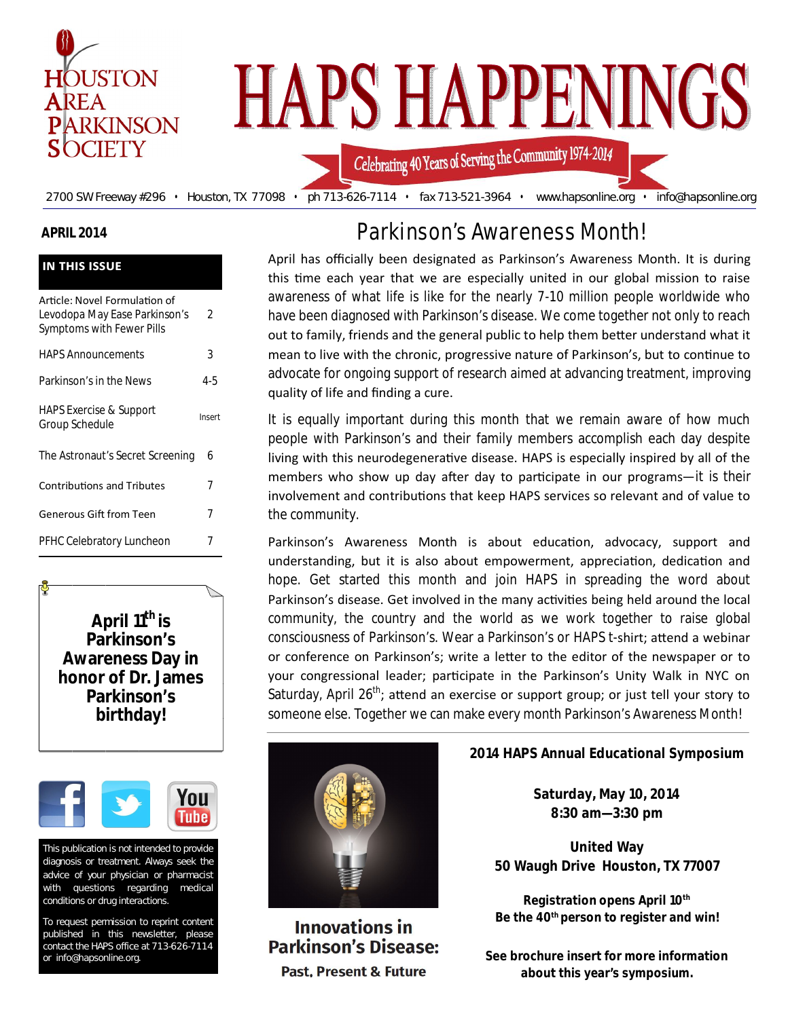

## **APRIL 2014**

| <b>IN THIS ISSUE</b>                                                                        |        |  |
|---------------------------------------------------------------------------------------------|--------|--|
| Article: Novel Formulation of<br>Levodopa May Ease Parkinson's<br>Symptoms with Fewer Pills | 2      |  |
| <b>HAPS Announcements</b>                                                                   | 3      |  |
| Parkinson's in the News                                                                     | 4-5    |  |
| <b>HAPS Exercise &amp; Support</b><br>Group Schedule                                        | Insert |  |
| The Astronaut's Secret Screening                                                            | 6      |  |
| <b>Contributions and Tributes</b>                                                           | 7      |  |
| <b>Generous Gift from Teen</b>                                                              | 7      |  |
| PFHC Celebratory Luncheon                                                                   | 7      |  |

**April 11th is Parkinson's Awareness Day in honor of Dr. James Parkinson's birthday!** 



This publication is not intended to provide diagnosis or treatment. Always seek the advice of your physician or pharmacist with questions regarding medical conditions or drug interactions.

To request permission to reprint content published in this newsletter, please contact the HAPS office at 713-626-7114 or info@hapsonline.org.

# Parkinson's Awareness Month!

April has officially been designated as Parkinson's Awareness Month. It is during this time each year that we are especially united in our global mission to raise awareness of what life is like for the nearly 7-10 million people worldwide who have been diagnosed with Parkinson's disease. We come together not only to reach out to family, friends and the general public to help them better understand what it mean to live with the chronic, progressive nature of Parkinson's, but to continue to advocate for ongoing support of research aimed at advancing treatment, improving quality of life and finding a cure.

It is equally important during this month that we remain aware of how much people with Parkinson's and their family members accomplish each day despite living with this neurodegenerative disease. HAPS is especially inspired by all of the members who show up day after day to participate in our programs—it is their involvement and contributions that keep HAPS services so relevant and of value to the community.

Parkinson's Awareness Month is about education, advocacy, support and understanding, but it is also about empowerment, appreciation, dedication and hope. Get started this month and join HAPS in spreading the word about Parkinson's disease. Get involved in the many activities being held around the local community, the country and the world as we work together to raise global consciousness of Parkinson's. Wear a Parkinson's or HAPS t-shirt; attend a webinar or conference on Parkinson's; write a letter to the editor of the newspaper or to your congressional leader; participate in the Parkinson's Unity Walk in NYC on Saturday, April  $26^{th}$ ; attend an exercise or support group; or just tell your story to someone else. Together we can make every month Parkinson's Awareness Month!



**Innovations in Parkinson's Disease: Past. Present & Future** 

## **2014 HAPS Annual Educational Symposium**

**Saturday, May 10, 2014 8:30 am—3:30 pm**

**United Way 50 Waugh Drive Houston, TX 77007**

**Registration opens April 10th Be the 40th person to register and win!** 

**See brochure insert for more information about this year's symposium.**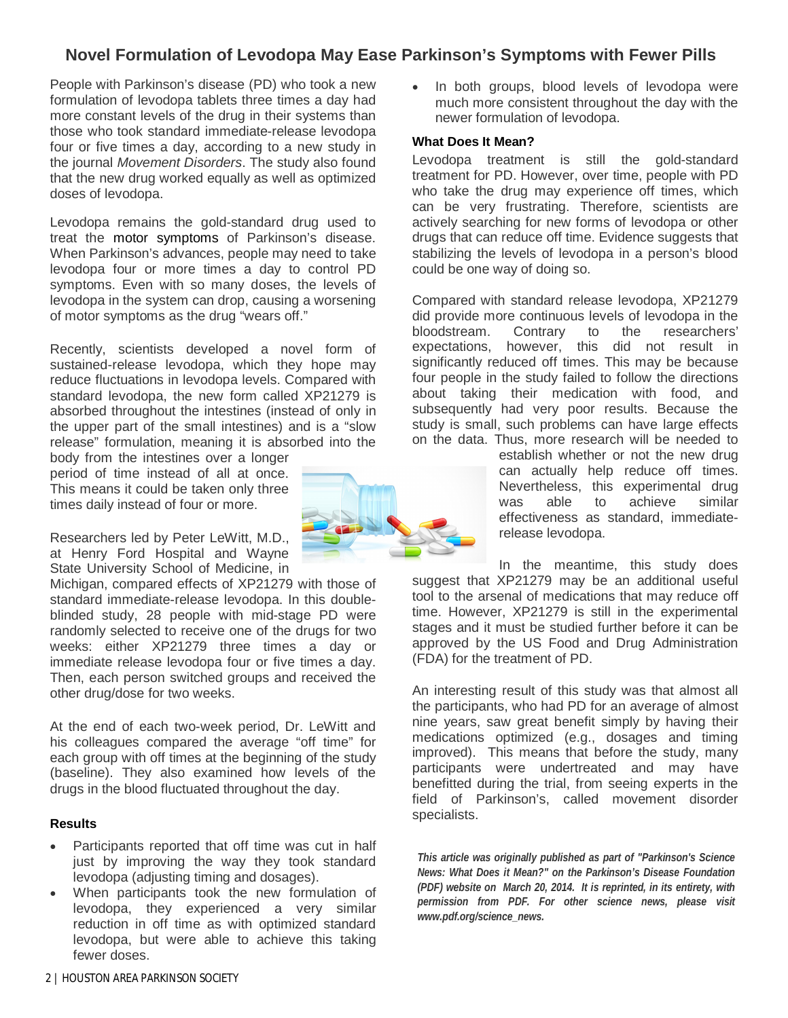## **Novel Formulation of Levodopa May Ease Parkinson's Symptoms with Fewer Pills**

People with Parkinson's disease (PD) who took a new formulation of levodopa tablets three times a day had more constant levels of the drug in their systems than those who took standard immediate-release levodopa four or five times a day, according to a new study in the journal *Movement Disorders*. The study also found that the new drug worked equally as well as optimized doses of levodopa.

Levodopa remains the gold-standard drug used to treat the motor symptoms of Parkinson's disease. When Parkinson's advances, people may need to take levodopa four or more times a day to control PD symptoms. Even with so many doses, the levels of levodopa in the system can drop, causing a worsening of motor symptoms as the drug "wears off."

Recently, scientists developed a novel form of sustained-release levodopa, which they hope may reduce fluctuations in levodopa levels. Compared with standard levodopa, the new form called XP21279 is absorbed throughout the intestines (instead of only in the upper part of the small intestines) and is a "slow release" formulation, meaning it is absorbed into the

body from the intestines over a longer period of time instead of all at once. This means it could be taken only three times daily instead of four or more.

Researchers led by Peter LeWitt, M.D., at Henry Ford Hospital and Wayne State University School of Medicine, in

Michigan, compared effects of XP21279 with those of standard immediate-release levodopa. In this doubleblinded study, 28 people with mid-stage PD were randomly selected to receive one of the drugs for two weeks: either XP21279 three times a day or immediate release levodopa four or five times a day. Then, each person switched groups and received the other drug/dose for two weeks.

At the end of each two-week period, Dr. LeWitt and his colleagues compared the average "off time" for each group with off times at the beginning of the study (baseline). They also examined how levels of the drugs in the blood fluctuated throughout the day.

#### **Results**

- Participants reported that off time was cut in half just by improving the way they took standard levodopa (adjusting timing and dosages).
- When participants took the new formulation of levodopa, they experienced a very similar reduction in off time as with optimized standard levodopa, but were able to achieve this taking fewer doses.



• In both groups, blood levels of levodopa were much more consistent throughout the day with the newer formulation of levodopa.

#### **What Does It Mean?**

Levodopa treatment is still the gold-standard treatment for PD. However, over time, people with PD who take the drug may experience off times, which can be very frustrating. Therefore, scientists are actively searching for new forms of levodopa or other drugs that can reduce off time. Evidence suggests that stabilizing the levels of levodopa in a person's blood could be one way of doing so.

Compared with standard release levodopa, XP21279 did provide more continuous levels of levodopa in the bloodstream. Contrary to the researchers' expectations, however, this did not result in significantly reduced off times. This may be because four people in the study failed to follow the directions about taking their medication with food, and subsequently had very poor results. Because the study is small, such problems can have large effects on the data. Thus, more research will be needed to

establish whether or not the new drug can actually help reduce off times. Nevertheless, this experimental drug<br>was able to achieve similar was able to achieve similar effectiveness as standard, immediaterelease levodopa.

In the meantime, this study does suggest that XP21279 may be an additional useful tool to the arsenal of medications that may reduce off time. However, XP21279 is still in the experimental stages and it must be studied further before it can be approved by the US Food and Drug Administration (FDA) for the treatment of PD.

An interesting result of this study was that almost all the participants, who had PD for an average of almost nine years, saw great benefit simply by having their medications optimized (e.g., dosages and timing improved). This means that before the study, many participants were undertreated and may have benefitted during the trial, from seeing experts in the field of Parkinson's, called movement disorder specialists.

*This article was originally published as part of "Parkinson's Science News: What Does it Mean?" on the Parkinson's Disease Foundation (PDF) website on March 20, 2014. It is reprinted, in its entirety, with permission from PDF. For other science news, please visit www.pdf.org/science\_news.*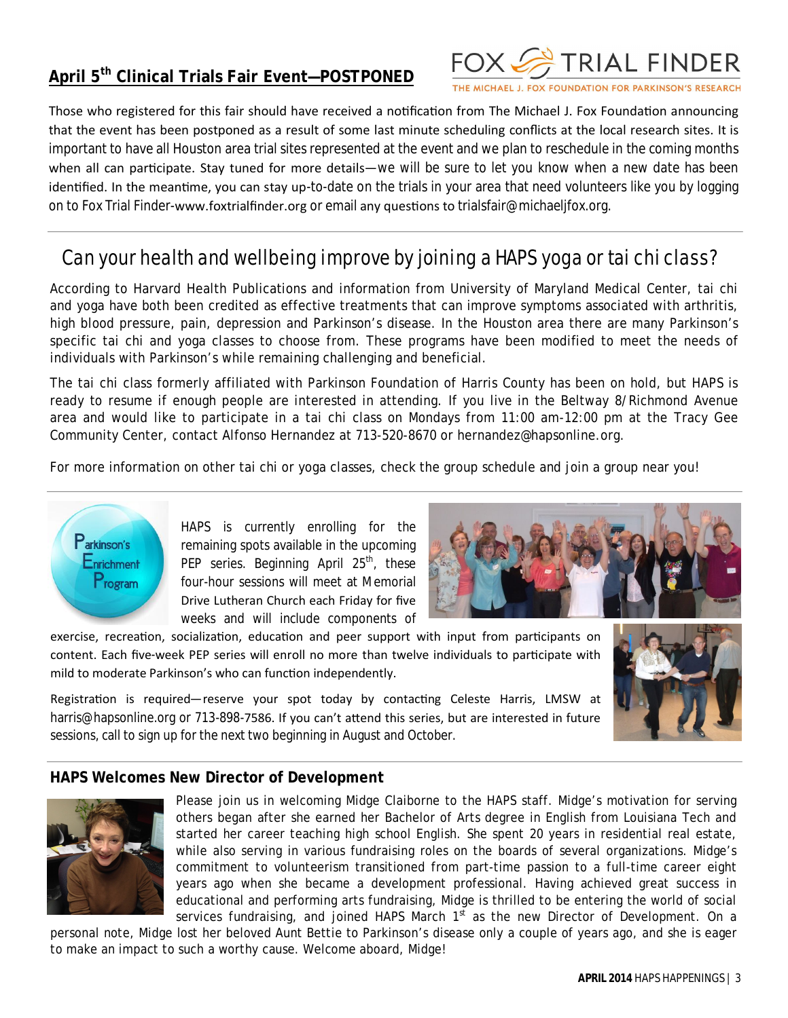## **April 5th Clinical Trials Fair Event—POSTPONED**



THE MICHAEL J. FOX FOUNDATION FOR PARKINSON'S RESEARCH

Those who registered for this fair should have received a notification from The Michael J. Fox Foundation announcing that the event has been postponed as a result of some last minute scheduling conflicts at the local research sites. It is important to have all Houston area trial sites represented at the event and we plan to reschedule in the coming months when all can participate. Stay tuned for more details—we will be sure to let you know when a new date has been identified. In the meantime, you can stay up-to-date on the trials in your area that need volunteers like you by logging on to Fox Trial Finder-www.foxtrialfinder.org or email any questions to trialsfair@michaeljfox.org.

## Can your health and wellbeing improve by joining a HAPS yoga or tai chi class?

According to Harvard Health Publications and information from University of Maryland Medical Center, tai chi and yoga have both been credited as effective treatments that can improve symptoms associated with arthritis, high blood pressure, pain, depression and Parkinson's disease. In the Houston area there are many Parkinson's specific tai chi and yoga classes to choose from. These programs have been modified to meet the needs of individuals with Parkinson's while remaining challenging and beneficial.

The tai chi class formerly affiliated with Parkinson Foundation of Harris County has been on hold, but HAPS is ready to resume if enough people are interested in attending. If you live in the Beltway 8/Richmond Avenue area and would like to participate in a tai chi class on Mondays from 11:00 am-12:00 pm at the Tracy Gee Community Center, contact Alfonso Hernandez at 713-520-8670 or hernandez@hapsonline.org.

For more information on other tai chi or yoga classes, check the group schedule and join a group near you!



HAPS is currently enrolling for the remaining spots available in the upcoming PEP series. Beginning April  $25<sup>th</sup>$ , these four-hour sessions will meet at Memorial Drive Lutheran Church each Friday for five weeks and will include components of



exercise, recreation, socialization, education and peer support with input from participants on content. Each five-week PEP series will enroll no more than twelve individuals to participate with mild to moderate Parkinson's who can function independently.

Registration is required—reserve your spot today by contacting Celeste Harris, LMSW at harris@hapsonline.org or 713-898-7586. If you can't attend this series, but are interested in future sessions, call to sign up for the next two beginning in August and October.

## **HAPS Welcomes New Director of Development**



Please join us in welcoming Midge Claiborne to the HAPS staff. Midge's motivation for serving others began after she earned her Bachelor of Arts degree in English from Louisiana Tech and started her career teaching high school English. She spent 20 years in residential real estate, while also serving in various fundraising roles on the boards of several organizations. Midge's commitment to volunteerism transitioned from part-time passion to a full-time career eight years ago when she became a development professional. Having achieved great success in educational and performing arts fundraising, Midge is thrilled to be entering the world of social services fundraising, and joined HAPS March  $1<sup>st</sup>$  as the new Director of Development. On a

personal note, Midge lost her beloved Aunt Bettie to Parkinson's disease only a couple of years ago, and she is eager to make an impact to such a worthy cause. Welcome aboard, Midge!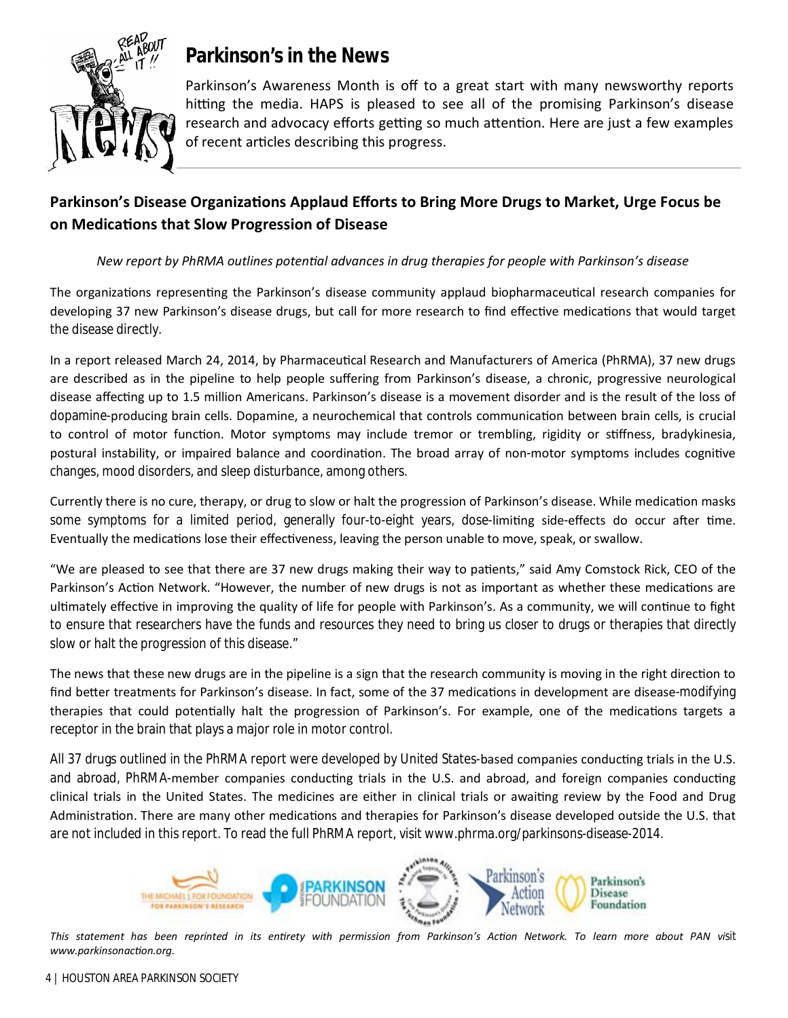

# **Parkinson's in the News**

Parkinson's Awareness Month is off to a great start with many newsworthy reports hitting the media. HAPS is pleased to see all of the promising Parkinson's disease research and advocacy efforts getting so much attention. Here are just a few examples of recent articles describing this progress.

## Parkinson's Disease Organizations Applaud Efforts to Bring More Drugs to Market, Urge Focus be **on MedicaƟons that Slow Progression of Disease**

## *New report by PhRMA outlines potenƟal advances in drug therapies for people with Parkinson's disease*

The organizations representing the Parkinson's disease community applaud biopharmaceutical research companies for developing 37 new Parkinson's disease drugs, but call for more research to find effective medications that would target the disease directly.

In a report released March 24, 2014, by Pharmaceutical Research and Manufacturers of America (PhRMA), 37 new drugs are described as in the pipeline to help people suffering from Parkinson's disease, a chronic, progressive neurological disease affecting up to 1.5 million Americans. Parkinson's disease is a movement disorder and is the result of the loss of dopamine-producing brain cells. Dopamine, a neurochemical that controls communication between brain cells, is crucial to control of motor function. Motor symptoms may include tremor or trembling, rigidity or stiffness, bradykinesia, postural instability, or impaired balance and coordination. The broad array of non-motor symptoms includes cognitive changes, mood disorders, and sleep disturbance, among others.

Currently there is no cure, therapy, or drug to slow or halt the progression of Parkinson's disease. While medication masks some symptoms for a limited period, generally four-to-eight years, dose-limiting side-effects do occur after time. Eventually the medications lose their effectiveness, leaving the person unable to move, speak, or swallow.

"We are pleased to see that there are 37 new drugs making their way to patients," said Amy Comstock Rick, CEO of the Parkinson's Action Network. "However, the number of new drugs is not as important as whether these medications are ultimately effective in improving the quality of life for people with Parkinson's. As a community, we will continue to fight to ensure that researchers have the funds and resources they need to bring us closer to drugs or therapies that directly slow or halt the progression of this disease."

The news that these new drugs are in the pipeline is a sign that the research community is moving in the right direction to find better treatments for Parkinson's disease. In fact, some of the 37 medications in development are disease-modifying therapies that could potentially halt the progression of Parkinson's. For example, one of the medications targets a receptor in the brain that plays a major role in motor control.

All 37 drugs outlined in the PhRMA report were developed by United States-based companies conducting trials in the U.S. and abroad, PhRMA-member companies conducting trials in the U.S. and abroad, and foreign companies conducting clinical trials in the United States. The medicines are either in clinical trials or awaiting review by the Food and Drug Administration. There are many other medications and therapies for Parkinson's disease developed outside the U.S. that are not included in this report. To read the full PhRMA report, visit www.phrma.org/parkinsons-disease-2014.



*This statement has been reprinted in its enƟrety with permission from Parkinson's AcƟon Network. To learn more about PAN visit www.parkinsonacƟon.org.*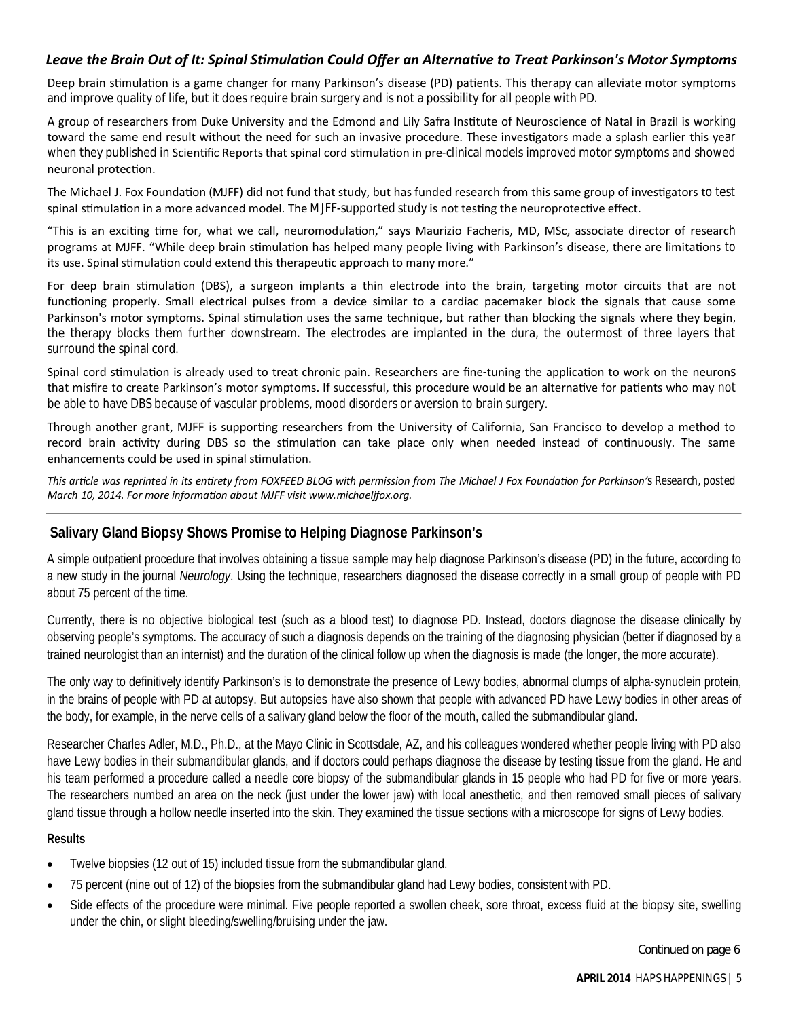## *Leave the Brain Out of It: Spinal SƟmulaƟon Could Offer an AlternaƟve to Treat Parkinson's Motor Symptoms*

Deep brain stimulation is a game changer for many Parkinson's disease (PD) patients. This therapy can alleviate motor symptoms and improve quality of life, but it does require brain surgery and is not a possibility for all people with PD.

A group of researchers from Duke University and the Edmond and Lily Safra Institute of Neuroscience of Natal in Brazil is working toward the same end result without the need for such an invasive procedure. These investigators made a splash earlier this year when they published in Scientific Reports that spinal cord stimulation in pre-clinical models improved motor symptoms and showed neuronal protection.

The Michael J. Fox Foundation (MJFF) did not fund that study, but has funded research from this same group of investigators to test spinal stimulation in a more advanced model. The MJFF-supported study is not testing the neuroprotective effect.

"This is an exciting time for, what we call, neuromodulation," says Maurizio Facheris, MD, MSc, associate director of research programs at MJFF. "While deep brain stimulation has helped many people living with Parkinson's disease, there are limitations to its use. Spinal stimulation could extend this therapeutic approach to many more."

For deep brain stimulation (DBS), a surgeon implants a thin electrode into the brain, targeting motor circuits that are not functioning properly. Small electrical pulses from a device similar to a cardiac pacemaker block the signals that cause some Parkinson's motor symptoms. Spinal stimulation uses the same technique, but rather than blocking the signals where they begin, the therapy blocks them further downstream. The electrodes are implanted in the dura, the outermost of three layers that surround the spinal cord.

Spinal cord stimulation is already used to treat chronic pain. Researchers are fine-tuning the application to work on the neurons that misfire to create Parkinson's motor symptoms. If successful, this procedure would be an alternative for patients who may not be able to have DBS because of vascular problems, mood disorders or aversion to brain surgery.

Through another grant, MJFF is supporting researchers from the University of California, San Francisco to develop a method to record brain activity during DBS so the stimulation can take place only when needed instead of continuously. The same enhancements could be used in spinal stimulation.

*This arƟcle was reprinted in its enƟrety from FOXFEED BLOG with permission from The Michael J Fox FoundaƟon for Parkinson's Research, posted March 10, 2014. For more informaƟon about MJFF visit www.michaeljfox.org.*

## **Salivary Gland Biopsy Shows Promise to Helping Diagnose Parkinson's**

A simple outpatient procedure that involves obtaining a tissue sample may help diagnose Parkinson's disease (PD) in the future, according to a new study in the journal *Neurology*. Using the technique, researchers diagnosed the disease correctly in a small group of people with PD about 75 percent of the time.

Currently, there is no objective biological test (such as a blood test) to diagnose PD. Instead, doctors diagnose the disease clinically by observing people's symptoms. The accuracy of such a diagnosis depends on the training of the diagnosing physician (better if diagnosed by a trained neurologist than an internist) and the duration of the clinical follow up when the diagnosis is made (the longer, the more accurate).

The only way to definitively identify Parkinson's is to demonstrate the presence of Lewy bodies, abnormal clumps of alpha-synuclein protein, in the brains of people with PD at autopsy. But autopsies have also shown that people with advanced PD have Lewy bodies in other areas of the body, for example, in the nerve cells of a salivary gland below the floor of the mouth, called the submandibular gland.

Researcher Charles Adler, M.D., Ph.D., at the Mayo Clinic in Scottsdale, AZ, and his colleagues wondered whether people living with PD also have Lewy bodies in their submandibular glands, and if doctors could perhaps diagnose the disease by testing tissue from the gland. He and his team performed a procedure called a needle core biopsy of the submandibular glands in 15 people who had PD for five or more years. The researchers numbed an area on the neck (just under the lower jaw) with local anesthetic, and then removed small pieces of salivary gland tissue through a hollow needle inserted into the skin. They examined the tissue sections with a microscope for signs of Lewy bodies.

#### **Results**

- Twelve biopsies (12 out of 15) included tissue from the submandibular gland.
- 75 percent (nine out of 12) of the biopsies from the submandibular gland had Lewy bodies, consistent with PD.
- Side effects of the procedure were minimal. Five people reported a swollen cheek, sore throat, excess fluid at the biopsy site, swelling under the chin, or slight bleeding/swelling/bruising under the jaw.

Continued on page 6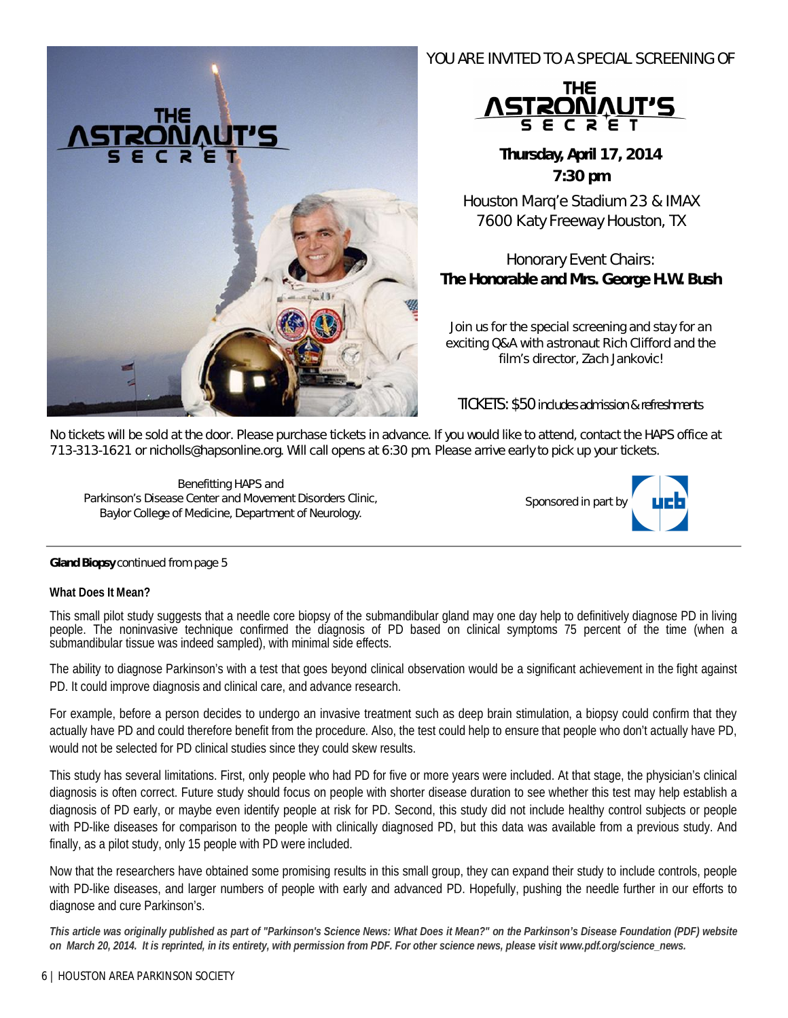

## YOU ARE INVITED TO A SPECIAL SCREENING OF



**Thursday, April 17, 2014 7:30 pm** 

Houston Marq'e Stadium 23 & IMAX 7600 Katy Freeway Houston, TX

## Honorary Event Chairs: *The Honorable and Mrs. George H.W. Bush*

*Join us for the special screening and stay for an exciting Q&A with astronaut Rich Clifford and the film's director, Zach Jankovic!*

TICKETS: \$50 includes admission & refreshments

No tickets will be sold at the door. Please purchase tickets in advance. If you would like to attend, contact the HAPS office at 713-313-1621 or nicholls@hapsonline.org. Will call opens at 6:30 pm. Please arrive early to pick up your tickets.

*Benefitting HAPS and Parkinson's Disease Center and Movement Disorders Clinic, Baylor College of Medicine, Department of Neurology.*



#### **Gland Biopsy** continued from page 5

#### **What Does It Mean?**

This small pilot study suggests that a needle core biopsy of the submandibular gland may one day help to definitively diagnose PD in living people. The noninvasive technique confirmed the diagnosis of PD based on clinical symptoms 75 percent of the time (when a submandibular tissue was indeed sampled), with minimal side effects.

The ability to diagnose Parkinson's with a test that goes beyond clinical observation would be a significant achievement in the fight against PD. It could improve diagnosis and clinical care, and advance research.

For example, before a person decides to undergo an invasive treatment such as deep brain stimulation, a biopsy could confirm that they actually have PD and could therefore benefit from the procedure. Also, the test could help to ensure that people who don't actually have PD, would not be selected for PD clinical studies since they could skew results.

This study has several limitations. First, only people who had PD for five or more years were included. At that stage, the physician's clinical diagnosis is often correct. Future study should focus on people with shorter disease duration to see whether this test may help establish a diagnosis of PD early, or maybe even identify people at risk for PD. Second, this study did not include healthy control subjects or people with PD-like diseases for comparison to the people with clinically diagnosed PD, but this data was available from a previous study. And finally, as a pilot study, only 15 people with PD were included.

Now that the researchers have obtained some promising results in this small group, they can expand their study to include controls, people with PD-like diseases, and larger numbers of people with early and advanced PD. Hopefully, pushing the needle further in our efforts to diagnose and cure Parkinson's.

*This article was originally published as part of "Parkinson's Science News: What Does it Mean?" on the Parkinson's Disease Foundation (PDF) website on March 20, 2014. It is reprinted, in its entirety, with permission from PDF. For other science news, please visit www.pdf.org/science\_news.*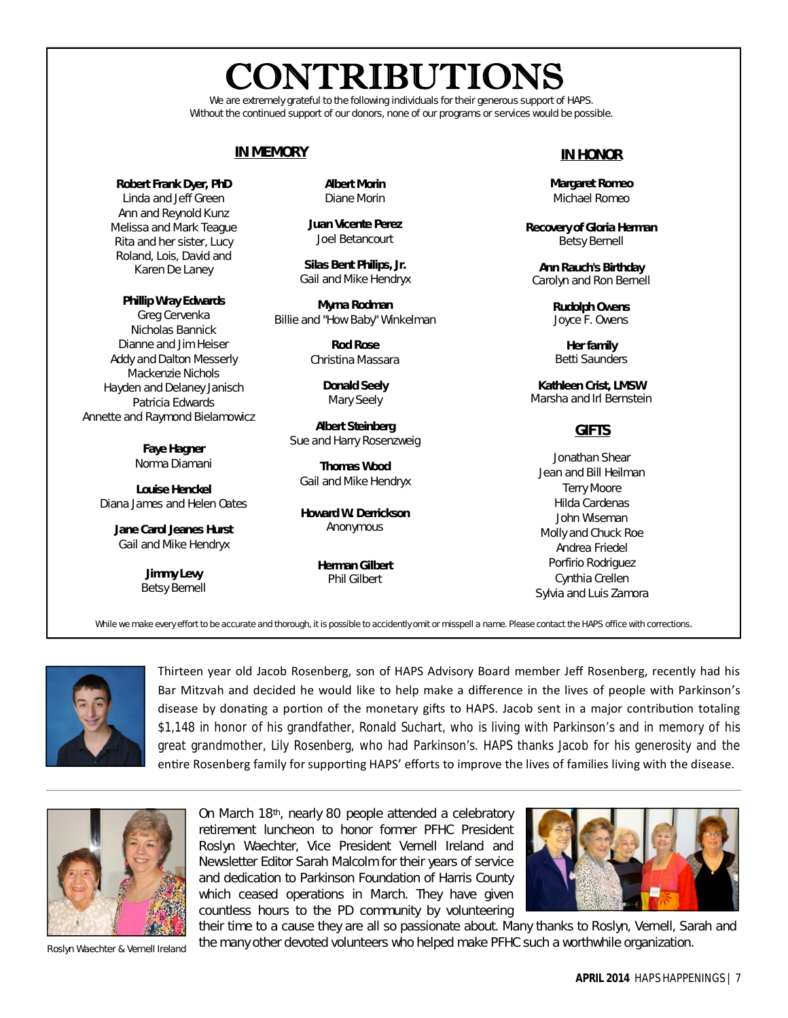# **CONTRIBUTIONS**

We are extremely grateful to the following individuals for their generous support of HAPS. Without the continued support of our donors, none of our programs or services would be possible.

## **IN MEMORY**

**Robert Frank Dyer, PhD** Linda and Jeff Green Ann and Reynold Kunz Melissa and Mark Teague Rita and her sister, Lucy Roland, Lois, David and Karen De Laney

#### **Phillip Wray Edwards**

Greg Cervenka Nicholas Bannick Dianne and Jim Heiser Addy and Dalton Messerly Mackenzie Nichols Hayden and Delaney Janisch Patricia Edwards Annette and Raymond Bielamowicz

> **Faye Hagner** Norma Diamani

**Louise Henckel** Diana James and Helen Oates

**Jane Carol Jeanes Hurst** Gail and Mike Hendryx

> **Jimmy Levy** Betsy Bernell

**Albert Morin** Diane Morin

**Juan Vicente Perez** Joel Betancourt

**Silas Bent Philips, Jr.** Gail and Mike Hendryx

**Myrna Rodman**  Billie and "How Baby" Winkelman

> **Rod Rose** Christina Massara

> > **Donald Seely** Mary Seely

**Albert Steinberg** Sue and Harry Rosenzweig

**Thomas Wood** Gail and Mike Hendryx

**Howard W. Derrickson** Anonymous

> **Herman Gilbert** Phil Gilbert

## **IN HONOR**

**Margaret Romeo** Michael Romeo

**Recovery of Gloria Herman** Betsy Bernell

**Ann Rauch's Birthday** Carolyn and Ron Bernell

> **Rudolph Owens** Joyce F. Owens

**Her family** Betti Saunders

**Kathleen Crist, LMSW** Marsha and Irl Bernstein

## **GIFTS**

Jonathan Shear Jean and Bill Heilman Terry Moore Hilda Cardenas John Wiseman Molly and Chuck Roe Andrea Friedel Porfirio Rodriguez Cynthia Crellen Sylvia and Luis Zamora

While we make every effort to be accurate and thorough, it is possible to accidently omit or misspell a name. Please contact the HAPS office with corrections.



Thirteen year old Jacob Rosenberg, son of HAPS Advisory Board member Jeff Rosenberg, recently had his Bar Mitzvah and decided he would like to help make a difference in the lives of people with Parkinson's disease by donating a portion of the monetary gifts to HAPS. Jacob sent in a major contribution totaling \$1,148 in honor of his grandfather, Ronald Suchart, who is living with Parkinson's and in memory of his great grandmother, Lily Rosenberg, who had Parkinson's. HAPS thanks Jacob for his generosity and the entire Rosenberg family for supporting HAPS' efforts to improve the lives of families living with the disease.



On March 18th, nearly 80 people attended a celebratory retirement luncheon to honor former PFHC President Roslyn Waechter, Vice President Vernell Ireland and Newsletter Editor Sarah Malcolm for their years of service and dedication to Parkinson Foundation of Harris County which ceased operations in March. They have given countless hours to the PD community by volunteering



their time to a cause they are all so passionate about. Many thanks to Roslyn, Vernell, Sarah and the many other devoted volunteers who helped make PFHC such a worthwhile organization. *Roslyn Waechter & Vernell Ireland*